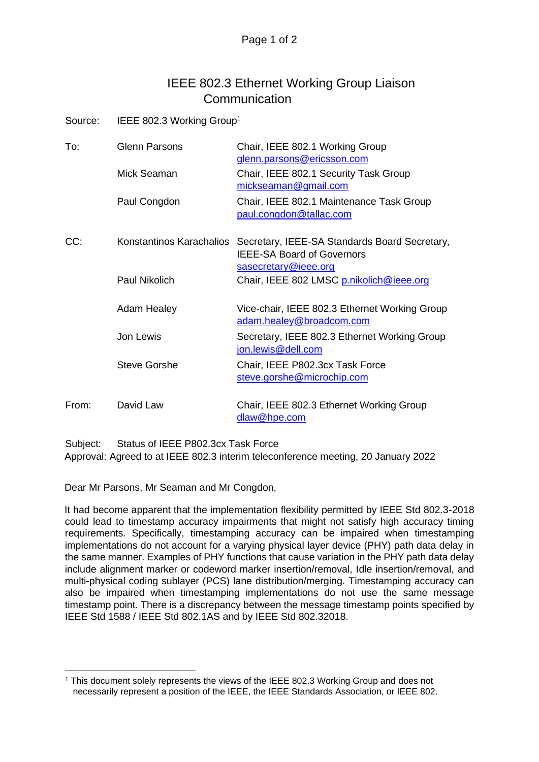## IEEE 802.3 Ethernet Working Group Liaison **Communication**

Source: IEEE 802.3 Working Group<sup>1</sup>

| To:   | Glenn Parsons<br>Mick Seaman | Chair, IEEE 802.1 Working Group<br>glenn.parsons@ericsson.com<br>Chair, IEEE 802.1 Security Task Group     |
|-------|------------------------------|------------------------------------------------------------------------------------------------------------|
|       | Paul Congdon                 | mickseaman@gmail.com<br>Chair, IEEE 802.1 Maintenance Task Group<br>paul.congdon@tallac.com                |
| CC:   | Konstantinos Karachalios     | Secretary, IEEE-SA Standards Board Secretary,<br><b>IEEE-SA Board of Governors</b><br>sasecretary@ieee.org |
|       | Paul Nikolich                | Chair, IEEE 802 LMSC p.nikolich@ieee.org                                                                   |
|       | <b>Adam Healey</b>           | Vice-chair, IEEE 802.3 Ethernet Working Group<br>adam.healey@broadcom.com                                  |
|       | Jon Lewis                    | Secretary, IEEE 802.3 Ethernet Working Group<br>jon.lewis@dell.com                                         |
|       | <b>Steve Gorshe</b>          | Chair, IEEE P802.3cx Task Force<br>steve.gorshe@microchip.com                                              |
| From: | David Law                    | Chair, IEEE 802.3 Ethernet Working Group<br>dlaw@hpe.com                                                   |

Subject: Status of IEEE P802.3cx Task Force Approval: Agreed to at IEEE 802.3 interim teleconference meeting, 20 January 2022

Dear Mr Parsons, Mr Seaman and Mr Congdon,

It had become apparent that the implementation flexibility permitted by IEEE Std 802.3-2018 could lead to timestamp accuracy impairments that might not satisfy high accuracy timing requirements. Specifically, timestamping accuracy can be impaired when timestamping implementations do not account for a varying physical layer device (PHY) path data delay in the same manner. Examples of PHY functions that cause variation in the PHY path data delay include alignment marker or codeword marker insertion/removal, Idle insertion/removal, and multi-physical coding sublayer (PCS) lane distribution/merging. Timestamping accuracy can also be impaired when timestamping implementations do not use the same message timestamp point. There is a discrepancy between the message timestamp points specified by IEEE Std 1588 / IEEE Std 802.1AS and by IEEE Std 802.32018.

<sup>1</sup> This document solely represents the views of the IEEE 802.3 Working Group and does not necessarily represent a position of the IEEE, the IEEE Standards Association, or IEEE 802.